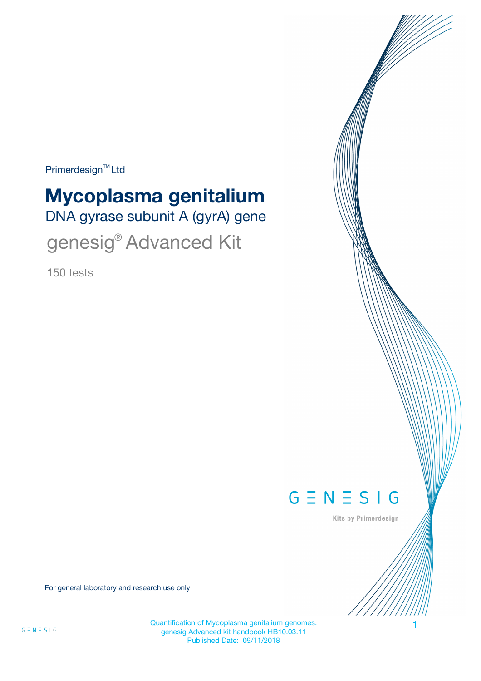$Primerdesign^{\text{TM}}$ Ltd

# DNA gyrase subunit A (gyrA) gene **Mycoplasma genitalium**

genesig® Advanced Kit

150 tests



Kits by Primerdesign

For general laboratory and research use only

Quantification of Mycoplasma genitalium genomes. 1 genesig Advanced kit handbook HB10.03.11 Published Date: 09/11/2018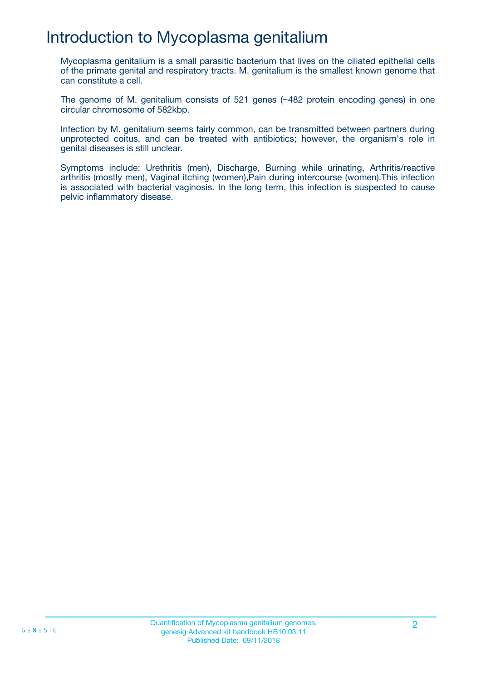# Introduction to Mycoplasma genitalium

Mycoplasma genitalium is a small parasitic bacterium that lives on the ciliated epithelial cells of the primate genital and respiratory tracts. M. genitalium is the smallest known genome that can constitute a cell.

The genome of M. genitalium consists of 521 genes (~482 protein encoding genes) in one circular chromosome of 582kbp.

Infection by M. genitalium seems fairly common, can be transmitted between partners during unprotected coitus, and can be treated with antibiotics; however, the organism's role in genital diseases is still unclear.

Symptoms include: Urethritis (men), Discharge, Burning while urinating, Arthritis/reactive arthritis (mostly men), Vaginal itching (women),Pain during intercourse (women).This infection is associated with bacterial vaginosis. In the long term, this infection is suspected to cause pelvic inflammatory disease.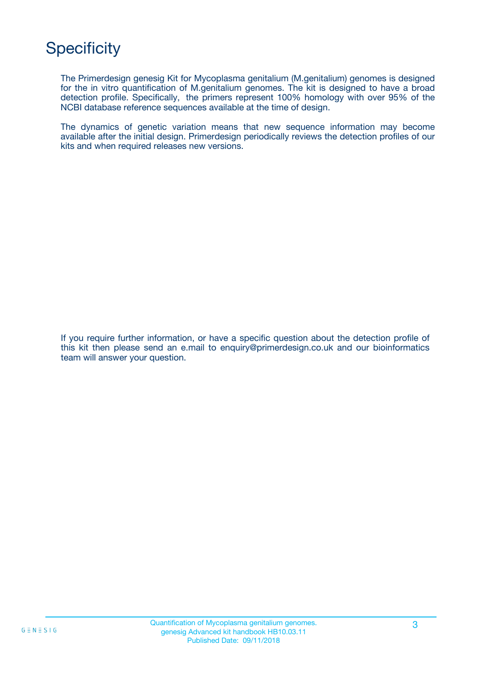# **Specificity**

The Primerdesign genesig Kit for Mycoplasma genitalium (M.genitalium) genomes is designed for the in vitro quantification of M.genitalium genomes. The kit is designed to have a broad detection profile. Specifically, the primers represent 100% homology with over 95% of the NCBI database reference sequences available at the time of design.

The dynamics of genetic variation means that new sequence information may become available after the initial design. Primerdesign periodically reviews the detection profiles of our kits and when required releases new versions.

If you require further information, or have a specific question about the detection profile of this kit then please send an e.mail to enquiry@primerdesign.co.uk and our bioinformatics team will answer your question.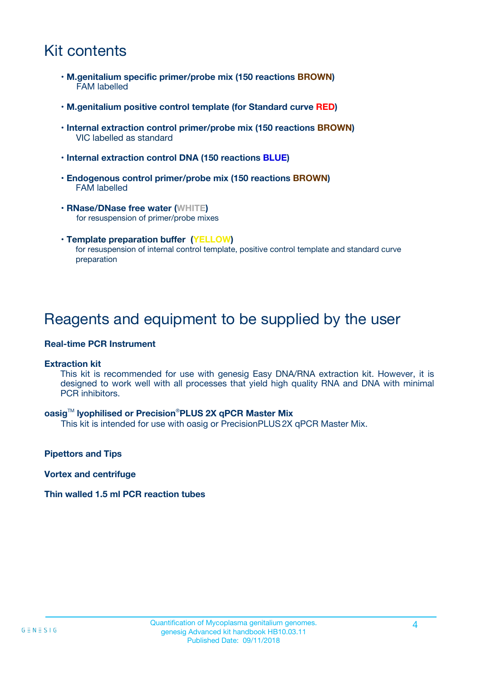## Kit contents

- **M.genitalium specific primer/probe mix (150 reactions BROWN)** FAM labelled
- **M.genitalium positive control template (for Standard curve RED)**
- **Internal extraction control primer/probe mix (150 reactions BROWN)** VIC labelled as standard
- **Internal extraction control DNA (150 reactions BLUE)**
- **Endogenous control primer/probe mix (150 reactions BROWN)** FAM labelled
- **RNase/DNase free water (WHITE)** for resuspension of primer/probe mixes
- **Template preparation buffer (YELLOW)** for resuspension of internal control template, positive control template and standard curve preparation

### Reagents and equipment to be supplied by the user

#### **Real-time PCR Instrument**

#### **Extraction kit**

This kit is recommended for use with genesig Easy DNA/RNA extraction kit. However, it is designed to work well with all processes that yield high quality RNA and DNA with minimal PCR inhibitors.

#### **oasig**TM **lyophilised or Precision**®**PLUS 2X qPCR Master Mix**

This kit is intended for use with oasig or PrecisionPLUS2X qPCR Master Mix.

**Pipettors and Tips**

**Vortex and centrifuge**

#### **Thin walled 1.5 ml PCR reaction tubes**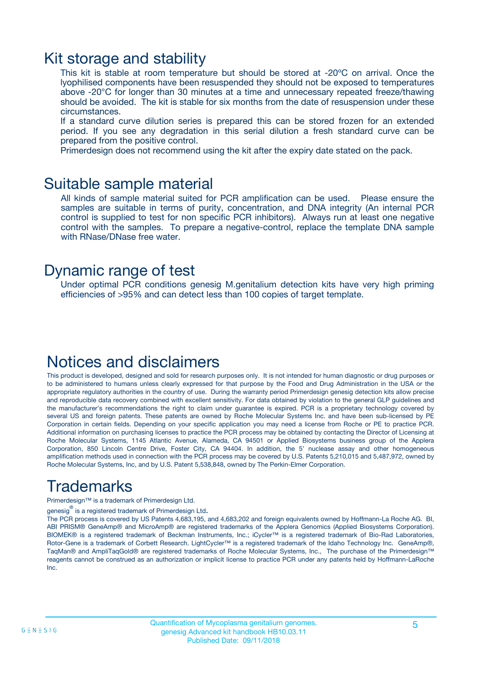### Kit storage and stability

This kit is stable at room temperature but should be stored at -20ºC on arrival. Once the lyophilised components have been resuspended they should not be exposed to temperatures above -20°C for longer than 30 minutes at a time and unnecessary repeated freeze/thawing should be avoided. The kit is stable for six months from the date of resuspension under these circumstances.

If a standard curve dilution series is prepared this can be stored frozen for an extended period. If you see any degradation in this serial dilution a fresh standard curve can be prepared from the positive control.

Primerdesign does not recommend using the kit after the expiry date stated on the pack.

### Suitable sample material

All kinds of sample material suited for PCR amplification can be used. Please ensure the samples are suitable in terms of purity, concentration, and DNA integrity (An internal PCR control is supplied to test for non specific PCR inhibitors). Always run at least one negative control with the samples. To prepare a negative-control, replace the template DNA sample with RNase/DNase free water.

### Dynamic range of test

Under optimal PCR conditions genesig M.genitalium detection kits have very high priming efficiencies of >95% and can detect less than 100 copies of target template.

### Notices and disclaimers

This product is developed, designed and sold for research purposes only. It is not intended for human diagnostic or drug purposes or to be administered to humans unless clearly expressed for that purpose by the Food and Drug Administration in the USA or the appropriate regulatory authorities in the country of use. During the warranty period Primerdesign genesig detection kits allow precise and reproducible data recovery combined with excellent sensitivity. For data obtained by violation to the general GLP guidelines and the manufacturer's recommendations the right to claim under guarantee is expired. PCR is a proprietary technology covered by several US and foreign patents. These patents are owned by Roche Molecular Systems Inc. and have been sub-licensed by PE Corporation in certain fields. Depending on your specific application you may need a license from Roche or PE to practice PCR. Additional information on purchasing licenses to practice the PCR process may be obtained by contacting the Director of Licensing at Roche Molecular Systems, 1145 Atlantic Avenue, Alameda, CA 94501 or Applied Biosystems business group of the Applera Corporation, 850 Lincoln Centre Drive, Foster City, CA 94404. In addition, the 5' nuclease assay and other homogeneous amplification methods used in connection with the PCR process may be covered by U.S. Patents 5,210,015 and 5,487,972, owned by Roche Molecular Systems, Inc, and by U.S. Patent 5,538,848, owned by The Perkin-Elmer Corporation.

# Trademarks

Primerdesign™ is a trademark of Primerdesign Ltd.

genesig $^\circledR$  is a registered trademark of Primerdesign Ltd.

The PCR process is covered by US Patents 4,683,195, and 4,683,202 and foreign equivalents owned by Hoffmann-La Roche AG. BI, ABI PRISM® GeneAmp® and MicroAmp® are registered trademarks of the Applera Genomics (Applied Biosystems Corporation). BIOMEK® is a registered trademark of Beckman Instruments, Inc.; iCycler™ is a registered trademark of Bio-Rad Laboratories, Rotor-Gene is a trademark of Corbett Research. LightCycler™ is a registered trademark of the Idaho Technology Inc. GeneAmp®, TaqMan® and AmpliTaqGold® are registered trademarks of Roche Molecular Systems, Inc., The purchase of the Primerdesign™ reagents cannot be construed as an authorization or implicit license to practice PCR under any patents held by Hoffmann-LaRoche Inc.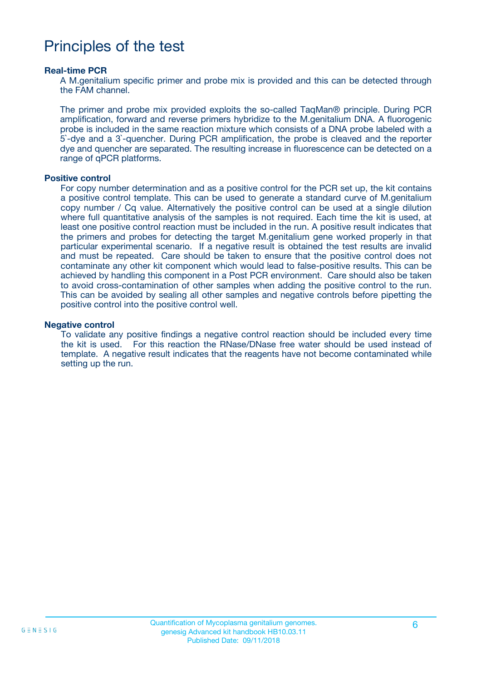### Principles of the test

#### **Real-time PCR**

A M.genitalium specific primer and probe mix is provided and this can be detected through the FAM channel.

The primer and probe mix provided exploits the so-called TaqMan® principle. During PCR amplification, forward and reverse primers hybridize to the M.genitalium DNA. A fluorogenic probe is included in the same reaction mixture which consists of a DNA probe labeled with a 5`-dye and a 3`-quencher. During PCR amplification, the probe is cleaved and the reporter dye and quencher are separated. The resulting increase in fluorescence can be detected on a range of qPCR platforms.

#### **Positive control**

For copy number determination and as a positive control for the PCR set up, the kit contains a positive control template. This can be used to generate a standard curve of M.genitalium copy number / Cq value. Alternatively the positive control can be used at a single dilution where full quantitative analysis of the samples is not required. Each time the kit is used, at least one positive control reaction must be included in the run. A positive result indicates that the primers and probes for detecting the target M.genitalium gene worked properly in that particular experimental scenario. If a negative result is obtained the test results are invalid and must be repeated. Care should be taken to ensure that the positive control does not contaminate any other kit component which would lead to false-positive results. This can be achieved by handling this component in a Post PCR environment. Care should also be taken to avoid cross-contamination of other samples when adding the positive control to the run. This can be avoided by sealing all other samples and negative controls before pipetting the positive control into the positive control well.

#### **Negative control**

To validate any positive findings a negative control reaction should be included every time the kit is used. For this reaction the RNase/DNase free water should be used instead of template. A negative result indicates that the reagents have not become contaminated while setting up the run.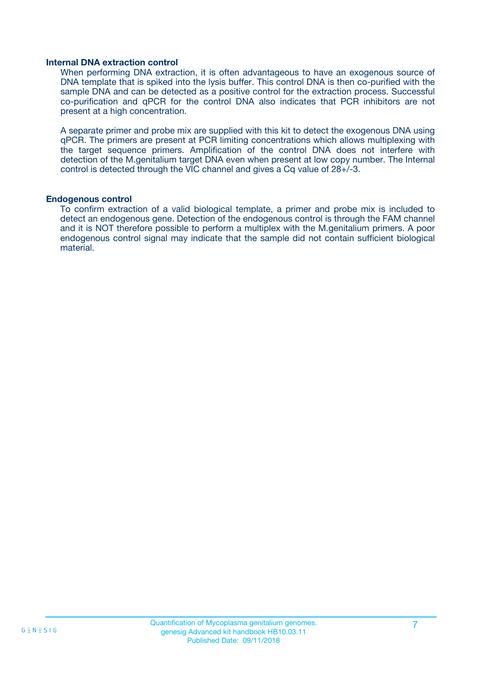#### **Internal DNA extraction control**

When performing DNA extraction, it is often advantageous to have an exogenous source of DNA template that is spiked into the lysis buffer. This control DNA is then co-purified with the sample DNA and can be detected as a positive control for the extraction process. Successful co-purification and qPCR for the control DNA also indicates that PCR inhibitors are not present at a high concentration.

A separate primer and probe mix are supplied with this kit to detect the exogenous DNA using qPCR. The primers are present at PCR limiting concentrations which allows multiplexing with the target sequence primers. Amplification of the control DNA does not interfere with detection of the M.genitalium target DNA even when present at low copy number. The Internal control is detected through the VIC channel and gives a Cq value of 28+/-3.

#### **Endogenous control**

To confirm extraction of a valid biological template, a primer and probe mix is included to detect an endogenous gene. Detection of the endogenous control is through the FAM channel and it is NOT therefore possible to perform a multiplex with the M.genitalium primers. A poor endogenous control signal may indicate that the sample did not contain sufficient biological material.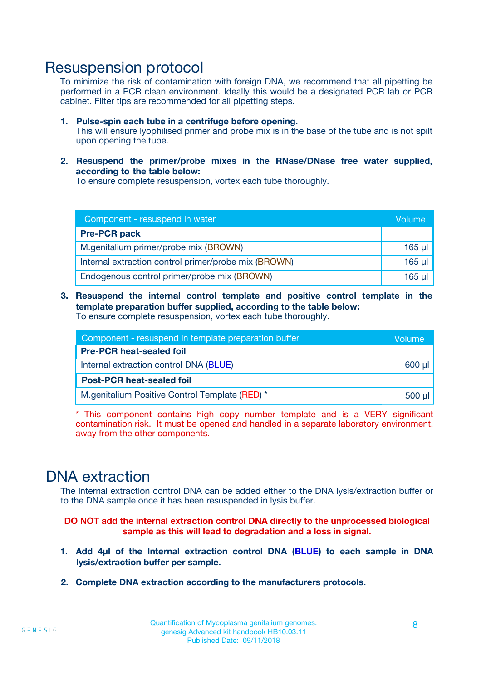### Resuspension protocol

To minimize the risk of contamination with foreign DNA, we recommend that all pipetting be performed in a PCR clean environment. Ideally this would be a designated PCR lab or PCR cabinet. Filter tips are recommended for all pipetting steps.

- **1. Pulse-spin each tube in a centrifuge before opening.** This will ensure lyophilised primer and probe mix is in the base of the tube and is not spilt upon opening the tube.
- **2. Resuspend the primer/probe mixes in the RNase/DNase free water supplied, according to the table below:**

To ensure complete resuspension, vortex each tube thoroughly.

| Component - resuspend in water                       |             |  |
|------------------------------------------------------|-------------|--|
| <b>Pre-PCR pack</b>                                  |             |  |
| M.genitalium primer/probe mix (BROWN)                | $165$ µl    |  |
| Internal extraction control primer/probe mix (BROWN) | $165$ $\mu$ |  |
| Endogenous control primer/probe mix (BROWN)          | 165 µl      |  |

**3. Resuspend the internal control template and positive control template in the template preparation buffer supplied, according to the table below:** To ensure complete resuspension, vortex each tube thoroughly.

| Component - resuspend in template preparation buffer |  |  |  |
|------------------------------------------------------|--|--|--|
| <b>Pre-PCR heat-sealed foil</b>                      |  |  |  |
| Internal extraction control DNA (BLUE)               |  |  |  |
| <b>Post-PCR heat-sealed foil</b>                     |  |  |  |
| M.genitalium Positive Control Template (RED) *       |  |  |  |

\* This component contains high copy number template and is a VERY significant contamination risk. It must be opened and handled in a separate laboratory environment, away from the other components.

### DNA extraction

The internal extraction control DNA can be added either to the DNA lysis/extraction buffer or to the DNA sample once it has been resuspended in lysis buffer.

**DO NOT add the internal extraction control DNA directly to the unprocessed biological sample as this will lead to degradation and a loss in signal.**

- **1. Add 4µl of the Internal extraction control DNA (BLUE) to each sample in DNA lysis/extraction buffer per sample.**
- **2. Complete DNA extraction according to the manufacturers protocols.**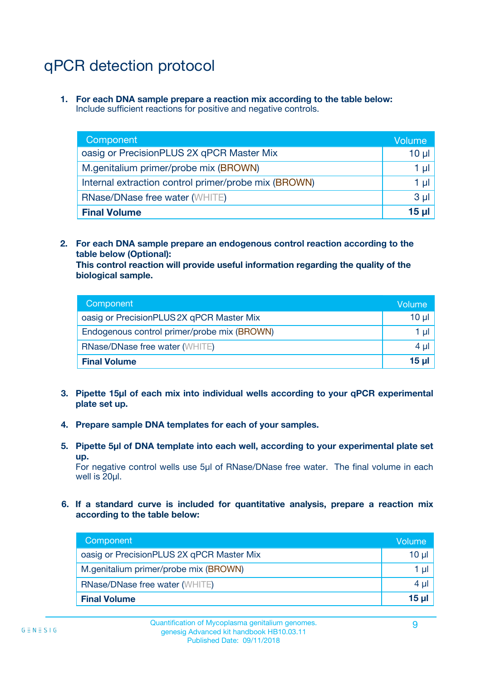# qPCR detection protocol

**1. For each DNA sample prepare a reaction mix according to the table below:** Include sufficient reactions for positive and negative controls.

| Component                                            | Volume   |
|------------------------------------------------------|----------|
| oasig or PrecisionPLUS 2X qPCR Master Mix            | $10 \mu$ |
| M.genitalium primer/probe mix (BROWN)                | 1 µI l   |
| Internal extraction control primer/probe mix (BROWN) | 1 µl     |
| <b>RNase/DNase free water (WHITE)</b>                | $3 \mu$  |
| <b>Final Volume</b>                                  | 15 µl    |

**2. For each DNA sample prepare an endogenous control reaction according to the table below (Optional):**

**This control reaction will provide useful information regarding the quality of the biological sample.**

| Component                                   | Volume   |
|---------------------------------------------|----------|
| oasig or PrecisionPLUS 2X qPCR Master Mix   | $10 \mu$ |
| Endogenous control primer/probe mix (BROWN) | 1 µI     |
| <b>RNase/DNase free water (WHITE)</b>       | $4 \mu$  |
| <b>Final Volume</b>                         | 15 µl    |

- **3. Pipette 15µl of each mix into individual wells according to your qPCR experimental plate set up.**
- **4. Prepare sample DNA templates for each of your samples.**
- **5. Pipette 5µl of DNA template into each well, according to your experimental plate set up.**

For negative control wells use 5µl of RNase/DNase free water. The final volume in each well is 20ul.

**6. If a standard curve is included for quantitative analysis, prepare a reaction mix according to the table below:**

| Component                                 | Volume          |
|-------------------------------------------|-----------------|
| oasig or PrecisionPLUS 2X qPCR Master Mix | 10 $\mu$        |
| M.genitalium primer/probe mix (BROWN)     | 1 µI I          |
| <b>RNase/DNase free water (WHITE)</b>     | $4 \mu$         |
| <b>Final Volume</b>                       | 15 <sub>µ</sub> |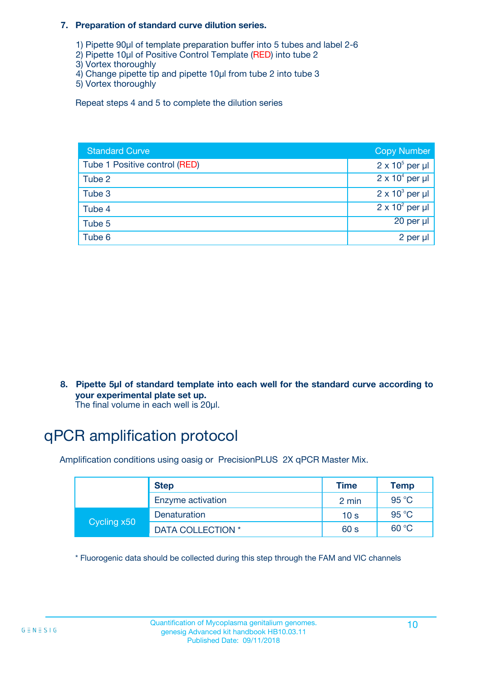#### **7. Preparation of standard curve dilution series.**

- 1) Pipette 90µl of template preparation buffer into 5 tubes and label 2-6
- 2) Pipette 10µl of Positive Control Template (RED) into tube 2
- 3) Vortex thoroughly
- 4) Change pipette tip and pipette 10µl from tube 2 into tube 3
- 5) Vortex thoroughly

Repeat steps 4 and 5 to complete the dilution series

| <b>Standard Curve</b>         | <b>Copy Number</b>     |
|-------------------------------|------------------------|
| Tube 1 Positive control (RED) | $2 \times 10^5$ per µl |
| Tube 2                        | $2 \times 10^4$ per µl |
| Tube 3                        | $2 \times 10^3$ per µl |
| Tube 4                        | $2 \times 10^2$ per µl |
| Tube 5                        | 20 per µl              |
| Tube 6                        | 2 per µl               |

**8. Pipette 5µl of standard template into each well for the standard curve according to your experimental plate set up.**

#### The final volume in each well is 20µl.

# qPCR amplification protocol

Amplification conditions using oasig or PrecisionPLUS 2X qPCR Master Mix.

|             | <b>Step</b>       | <b>Time</b>     | Temp    |
|-------------|-------------------|-----------------|---------|
|             | Enzyme activation | 2 min           | 95 °C   |
| Cycling x50 | Denaturation      | 10 <sub>s</sub> | 95 $°C$ |
|             | DATA COLLECTION * | 60 s            | 60 °C   |

\* Fluorogenic data should be collected during this step through the FAM and VIC channels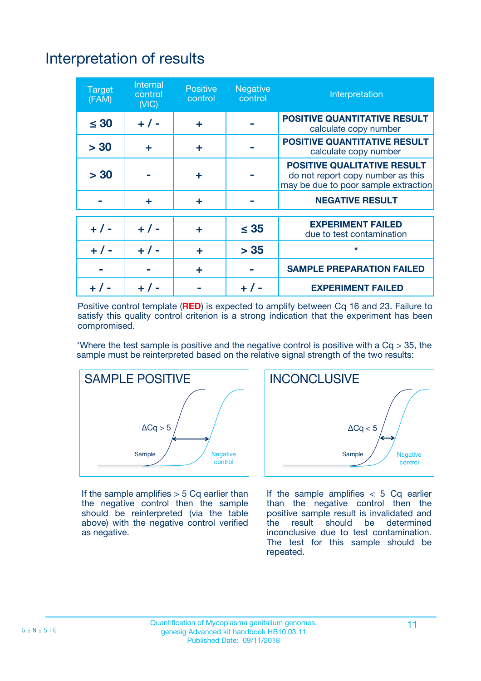# Interpretation of results

| <b>Target</b><br>(FAM) | <b>Internal</b><br>control<br>(NIC) | <b>Positive</b><br>control | <b>Negative</b><br>control | Interpretation                                                                                                  |
|------------------------|-------------------------------------|----------------------------|----------------------------|-----------------------------------------------------------------------------------------------------------------|
| $\leq 30$              | $+ 1 -$                             | ÷                          |                            | <b>POSITIVE QUANTITATIVE RESULT</b><br>calculate copy number                                                    |
| > 30                   | ٠                                   | ÷                          |                            | <b>POSITIVE QUANTITATIVE RESULT</b><br>calculate copy number                                                    |
| > 30                   |                                     | ÷                          |                            | <b>POSITIVE QUALITATIVE RESULT</b><br>do not report copy number as this<br>may be due to poor sample extraction |
|                        | ÷                                   | ÷                          |                            | <b>NEGATIVE RESULT</b>                                                                                          |
| $+ 1 -$                | $+ 1 -$                             | ÷                          | $\leq$ 35                  | <b>EXPERIMENT FAILED</b><br>due to test contamination                                                           |
| $+$ / -                | $+ 1 -$                             | ÷                          | > 35                       | $\star$                                                                                                         |
|                        |                                     | ÷                          |                            | <b>SAMPLE PREPARATION FAILED</b>                                                                                |
|                        |                                     |                            | $+$ /                      | <b>EXPERIMENT FAILED</b>                                                                                        |

Positive control template (**RED**) is expected to amplify between Cq 16 and 23. Failure to satisfy this quality control criterion is a strong indication that the experiment has been compromised.

\*Where the test sample is positive and the negative control is positive with a  $Ca > 35$ , the sample must be reinterpreted based on the relative signal strength of the two results:



If the sample amplifies  $> 5$  Cq earlier than the negative control then the sample should be reinterpreted (via the table above) with the negative control verified as negative.



If the sample amplifies  $< 5$  Cq earlier than the negative control then the positive sample result is invalidated and<br>the result should be determined  $the$  result should be inconclusive due to test contamination. The test for this sample should be repeated.